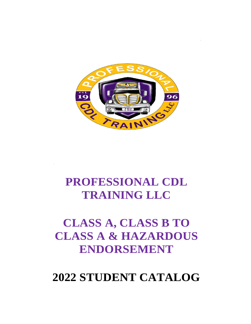

# **PROFESSIONAL CDL TRAINING LLC**

# **CLASS A, CLASS B TO CLASS A & HAZARDOUS ENDORSEMENT**

# **2022 STUDENT CATALOG**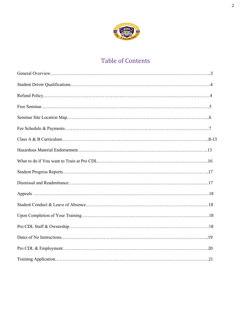

# Table of Contents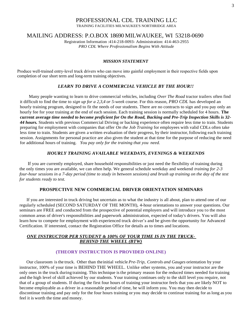# PROFESSIONAL CDL TRAINING LLC

TRAINING FACILITIES MILWAUKEE'S NORTHRIDGE AREA

#### MAILING ADDRESS: P.O.BOX 18690 MILWAUKEE, WI 53218-0690

Registration Information :414-218-0093- Administration: 414-463-2955 *PRO CDL Where Professionalism Begins With Attitude*

#### *MISSION STATEMENT*

Produce well‐trained entry‐level truck drivers who can move into gainful employment in their respective fields upon completion of our short term and long-term training objectives.

#### *LEARN TO DRIVE A COMMERCIAL VEHICLE BY THE HOUR!!*

Many people wanting to learn to drive commercial vehicles, including *Over The Road* tractor trailers often find it difficult to find the time to *sign up for a 2,3,4 or 5-week* course. For this reason, *PRO CDL* has developed an hourly training program, designed to fit the needs of our students. There are no contracts to sign and you pay only an hourly fee for your training at the end of each session. Each training session is normally scheduled for 4 hours. **The current average** *time needed to become proficient for On the Road, Backing and Pre-Trip Inspection Skills is 32- 44 hours.* Students with previous Commercial Driving or backing experience often require less time to train. Students preparing for employment with companies that offer *On the Job Training* for employees with valid CDLs often take less time to train. Students are given a written evaluation of their progress, by their instructor, following each training session. Assignments for personal practice are also given the student at that time for the purpose of reducing the need for additional hours of training. *You pay only for the training that you need.*

#### *HOURLY TRAINING AVAILABLE WEEKDAYS, EVENINGS & WEEKENDS*

If you are currently employed, share household responsibilities or just need the flexibility of training during the only times you are available, we can often help. We general schedule weekday and weekend *training for 2-3 four-hour sessions in a 7-day period (time to study in between sessions) and brush up training on the day of the test for students ready to test.*

#### **PROSPECTIVE NEW COMMERCIAL DRIVER ORIENTATION SEMINARS**

If you are interested in truck driving but uncertain as to what the industry is all about, plan to attend one of our regularly scheduled (SECOND SATURDAY OF THE MONTH), 4-hour orientations to answer your questions. Our seminars are FREE and conducted from the prospective of potential employers and will introduce you to the most common areas of driver's responsibilities and paperwork administration, expected of today's drivers. You will also learn how to compete for employment with experienced truck driver's and be given the opportunity for Advanced Certification. If interested, contact the Registration Office for details as to times and locations.

#### *ONE INSTRUCTOR PER STUDENT & 100% OF YOUR TIME IS IN THE TRUCK-BEHIND THE WHEEL (BTW)*

#### **(THEORY INSTRUCTION IS PROVIDED ONLINE)**

Our classroom is the truck. Other than theinitial vehicle *Pre-Trip, Controls and Gauges* orientation by your instructor, 100% of your time is BEHIND THE WHEEL. Unlike other systems, you and your instructor are the only ones in the truck during training. This technique isthe primary reason for the reduced times needed for training and the high level of skill achieved by our students. Your training continues only to the skill level you require, not that of a group of students. If during the first four hours of training your instructor feels that you are likely NOT to become employable as a driver in a reasonable period of time, he will inform you. You may then decide to discontinue training and pay only for the four hours training or you may decide to continue training for as long as you feel it is worth the time and money.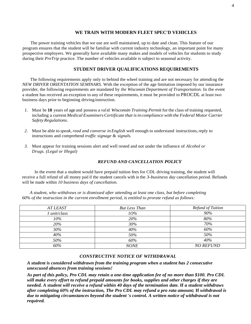#### **WE TRAIN WITH MODERN FLEET SPEC'D VEHICLES**

The power training vehicles that we use are well maintained, up to date and clean. This feature of our program ensures that the student will be familiar with current industry technology, an important point for many prospective employers. We generally have available many makes and models of vehicles for students to study during their *PreTrip* practice. The number of vehicles available is subject to seasonal activity.

#### **STUDENT DRIVER QUALIFICATIONS REQUIREMENTS**

The following requirements apply only to behind the wheel training and are not necessary for attending the *NEW DRIVER ORIENTATION SEMINARS.* With the exception of the age limitation imposed by our insurance provider, the following requirements are mandated by *the Wisconsin Department of Transportation.* In the event a student has received an exception to any of these requirements, it must be provided to PROCDL at least two business days prior to beginning driving instruction.

- *1.* Must be **18** years of age and possess a valid *Wisconsin Training Permit* for the class of training requested, including a current*Medical ExaminersCertificate that isin compliance with the Federal Motor Carrier Safety Regulations.*
- *2.* Must be able to *speak, read and converse inEnglish* well enough to understand instructions,reply to instructions and comprehend *traffic signage* & *signals.*
- *3.* Must appear for training sessions alert and well rested and not under the influence of *Alcohol or Drugs. (Legal or Illegal)*

#### *REFUND AND CANCELLATION POLICY*

In the event that a student would have prepaid tuition fees for CDL driving training, the student will receive a full refund of all money paid if the student cancels with in the *3-business day* cancellation period. Refunds will be made within *10 business days of cancellation.*

*A student, who withdraws or is dismissed after attending at least one class, but before completing 60% of the instruction in the current enrollment period, is entitled to prorate refund as follows:*

| <b>AT LEAST</b> | <b>But Less Than</b> | Refund of Tuition |
|-----------------|----------------------|-------------------|
| unit/class      | $10\%$               | 90%               |
| 10%             | 20%                  | 80%               |
| 20%             | 30%                  | 70%               |
| 30%             | 40%                  | 60%               |
| 40%             | 50%                  | 50%               |
| 50%             | 60%                  | 40%               |
| 60%             | <b>NONE</b>          | <b>NO REFUND</b>  |

#### *CONSTRUCTIVE NOTICE OF WITHDRAWAL*

*A student is considered withdrawn from the training program when a student has 2 consecutive unexcused absences from training sessions!* 

*As part of this policy, Pro CDL may retain a one-time application fee of no more than \$100. Pro CDL will make every effort to refund prepaid amounts for books, supplies and other charges if they are needed. A student will receive a refund within 40 days of the termination date.* **If** *a student withdraws after completing 60% of the instruction, The Pro CDL may refund a pro rata amount;* **If** *withdrawal is due to mitigating circumstances beyond the student 's control. A written notice of withdrawal is not required.*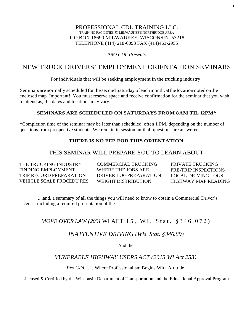#### PROFESSIONAL CDL TRAINING LLC. TRAINING FACILITIES JN MILWAUKEE'S NORTHRIDGE AREA P.O.BOX 18690 MILWAUKEE, WISCONSIN 53218 TELEPHONE (414) 218-0093 FAX (414)463-2955

*PRO CDL Presents*

# NEW TRUCK DRIVERS' EMPLOYMENT ORIENTATION SEMINARS

For individuals that will be seeking employment in the trucking industry

Seminars are normally scheduled forthe second Saturday of eachmonth, atthelocation noted onthe enclosed map. Important! You must reserve space and receive confirmation for the seminar that you wish to attend as, the dates and locations may vary.

#### SEMINARS ARE SCHEDULED ON SATURDAYS FROM 8AM TIL 12PM\*

\*Completion time of the seminar may be later than scheduled, often 1 PM, depending on the number of questions from prospective students. We remain in session until all questions are answered.

#### **THERE IS NO FEE FOR THIS ORIENTATION**

## THIS SEMINAR WILL PREPARE YOU TO LEARN ABOUT

THE TRUCKING INDUSTRY FINDING EMPLOYMENT TRIP RECORD PREPARATION VEHICLE SCALE PROCEDU RES

COMMERCIAL TRUCKING WHERE THE JOBS ARE DRIVER LOGPREPARATION WEIGHT DISTRIBUTION

PRIVATE TRUCKING PRE-TRIP INSPECTIONS LOCAL DRIVING LOGS HIGHWAY MAP READING

....and, a summary of all the things you will need to know to obtain a Commercial Driver's License, including a required presentation of the

## *MOVE OVER LAW (2001* WI ACT 15, WI. Stat. § 346.072)

#### *INATTENTIVE DRIVING (Wis. Stat. §346.89)*

And the

#### *VUNERABLE HIGHWAY USERS ACT (2013 WI Act 253)*

*Pro CDL ......*Where Professionalism Begins With Attitude!

Licensed & Certified by the Wisconsin Department of Transportation and the Educational Approval Program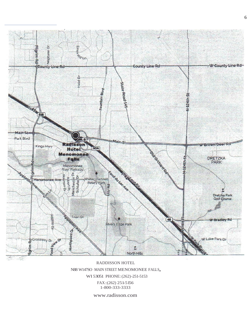

#### RADDISSON HOTEL N88 W147SO -MAIN STREET MENOMONEE FALLS, WI 53051 PHONE:(262)-251-5153 FAX:(262) 251-5156 1-800-333-3333

www.radisson.com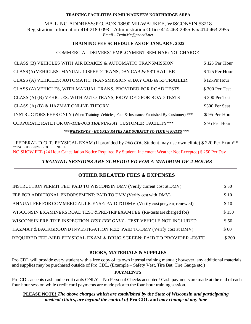#### **TRAINING FACILITIES IN MILWAUKEE'S NORTHRIDGE AREA**

MAILING ADDRESS:P.O. BOX 18690 MILWAUKEE, WISCONSIN 53218 Registration Information 414-218-0093 Administration Office 414-463-2955 Fax 414-463-2955 *Email* - *TrainMe@procdLnet*

#### **TRAINING FEE SCHEDULE AS OF JANUARY, 2022**

#### COMMERCIAL DRIVERS' EMPLOYMENT SEMINAR: NO CHARGE

| CLASS (B) VEHICLES WITH AIR BRAKES & AUTOMATIC TRANSMISSION                                | \$125 Per Hour |
|--------------------------------------------------------------------------------------------|----------------|
| CLASS (A) VEHICLES: MANUAL 10SPEED TRANS, DAY CAB & 53'TRAILER                             | \$125 Per Hour |
| CLASS (A) VEHICLES: AUTOMATIC TRANSMISSION & DAY CAB & 53'TRAILER                          | \$125 Per Hour |
| CLASS (A) VEHICLES, WITH MANUAL TRANS, PROVIDED FOR ROAD TESTS                             | \$300 Per Test |
| CLASS (A) (B) VEHICLES, WITH AUTO TRANS, PROVIDED FOR ROAD TESTS                           | \$300 Per Test |
| CLASS (A) (B) & HAZMAT ONLINE THEORY                                                       | \$300 Per Seat |
| INSTRUCTORS FEES ONLY (When Training Vehicles, Fuel & Insurance Furnished By Customer) *** | \$95 Per Hour  |
| CORPORATE RATE FOR ON-THE-JOB TRAINING AT CUSTOMER FACILITY***                             | \$95 Per Hour  |
|                                                                                            |                |

#### *\*\*\*WEEKENDS - HOURLY RATES ARE SUBJECT TO TIME ½ RATES \*\*\**

FEDERAL D.O.T. PHYSICAL EXAM (If provided by *PRO CDL.* Student may use own clinic) \$ 220 Per Exam\*\* \*\*INCLUDES \$20 PROCESSING FEE NO SHOW FEE (24 Hour Cancellation Notice Required By Student. Inclement Weather Not Excepted) \$ 250 Per Day

#### *TRAINING SESSIONS ARE SCHEDULED FOR A MINIMUM OF 4 HOURS*

#### **OTHER RELATED FEES & EXPENSES**

| INSTRUCTION PERMIT FEE: PAID TO WISCONSIN DMV (Verify current cost at DMV)    | \$ 30  |
|-------------------------------------------------------------------------------|--------|
| FEE FOR ADDITIONAL ENDORSEMENT: PAID TO DMV (Verify cost with DMV)            | \$10   |
| ANNUAL FEE FOR COMMERCIAL LICENSE: PAID TODMV (Verify cost per year, renewed) | \$10   |
| WISCONSIN EXAMINERS ROAD TEST & PRE-TRIPEXAM FEE (Re-tests are charged for)   | \$150  |
| WISCONSIN PRE-TRIP INSPECTION TEST FEE ONLY - TEST VEHICLE NOT INCLUDED       | \$50   |
| HAZMAT & BACKGROUND INVESTIGATION FEE: PAID TO DMV (Verify cost at DMV)       | \$60   |
| REQUIRED FED-MED PHYSICAL EXAM & DRUG SCREEN: PAID TO PROVIDER -EST'D         | \$ 200 |

#### **BOOKS, MATERIALS & SUPPLIES**

Pro CDL will provide every student with a free copy of its own internal training manual; however, any additional materials and supplies may be purchased outside of Pro CDL. (Example – Safety Vest, Tire Bat, Tire Gauge etc.)

#### **PAYMENTS**

Pro CDL accepts cash and credit cards ONLY – No Personal Checks accepted! Cash payments are made at the end of each four-hour session while credit card payments are made prior to the four-hour training session.

#### **PLEASE NOTE!** *The above charges which are established by the State of Wisconsin and participating medical clinics, are beyond the control of* **Pro CDL and** *may change at any time*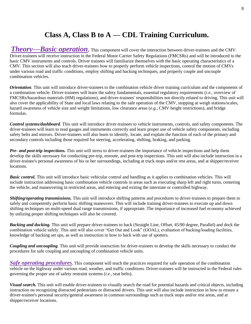# **Class A, Class B to A — CDL Training Curriculum.**

*Theory—Basic operation*. This component will cover the interaction between driver-trainees and the CMV. Driver-trainees will receive instruction in the Federal Motor Carrier Safety Regulations (FMCSRs) and will be introduced to the basic CMV instruments and controls. Driver trainees will familiarize themselves with the basic operating characteristics of a CMV. This section will also teach driver-trainees how to properly perform vehicle inspections, control the motion of CMVs under various road and traffic conditions, employ shifting and backing techniques, and properly couple and uncouple combination vehicles.

*Orientation*. This unit will introduce driver-trainees to the combination vehicle driver training curriculum and the components of a combination vehicle. Driver-trainees will learn the safety fundamentals, essential regulatory requirements (*i.e.,* overview of FMCSRs/hazardous materials (HM) regulations), and driver-trainees' responsibilities not directly related to driving. This unit will also cover the applicability of State and local laws relating to the safe operation of the CMV, stopping at weigh stations/scales, hazard awareness of vehicle size and weight limitations, low clearance areas (*e.g.,* CMV height restrictions), and bridge formulas.

*Control systems/dashboard.* This unit will introduce driver-trainees to vehicle instruments, controls, and safety components. The driver-trainees will learn to read gauges and instruments correctly and learn proper use of vehicle safety components, including safety belts and mirrors. Driver-trainees will also learn to identify, locate, and explain the function of each of the primary and secondary controls including those required for steering, accelerating, shifting, braking, and parking.

*Pre- and post-trip inspections.* This unit will stress to driver-trainees the importance of vehicle inspections and help them develop the skills necessary for conducting pre-trip, enroute, and post-trip inspections. This unit will also include instruction in a driver-trainee's personal awareness of his or her surroundings, including at truck stops and/or rest areas, and at shipper/receiver locations.

*Basic control.* This unit will introduce basic vehicular control and handling as it applies to combination vehicles. This will include instruction addressing basic combination vehicle controls in areas such as executing sharp left and right turns, centering the vehicle, and maneuvering in restricted areas, and entering and exiting the interstate or controlled highway.

*Shifting/operating transmissions.* This unit will introduce shifting patterns and procedures to driver-trainees to prepare them to safely and competently perform basic shifting maneuvers. This will include training driver-trainees to execute up and down shifting techniques on multi-speed dual range transmissions, if appropriate. The importance of increased fuel economy achieved by utilizing proper shifting techniques will also be covered.

*Backing and docking.* This unit will prepare driver-trainees to back (Straight Line, Offset, 45/90 degree, Parallel) and dock the combination vehicle safely. This unit will also cover "Get Out and Look" (GOAL), evaluation of backing/loading facilities, knowledge of backing set ups, as well as instruction in how to back with use of spotters.

*Coupling and uncoupling.* This unit will provide instruction for driver-trainees to develop the skills necessary to conduct the procedures for safe coupling and uncoupling of combination vehicle units.

*Safe operating procedures*. This component will teach the practices required for safe operation of the combination vehicle on the highway under various road, weather, and traffic conditions. Driver-trainees will be instructed in the Federal rules governing the proper use of safety restraint systems (*i.e.,* seat belts).

*Visual search.* This unit will enable driver-trainees to visually search the road for potential hazards and critical objects, including instruction on recognizing distracted pedestrians or distracted drivers. This unit will also include instruction in how to ensure a driver-trainee's personal security/general awareness in common surroundings such as truck stops and/or rest areas, and at shipper/receiver locations.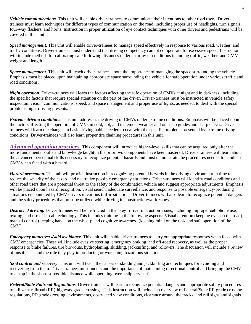*Vehicle communications.* This unit will enable driver-trainees to communicate their intentions to other road users. Drivertrainees must learn techniques for different types of communication on the road, including proper use of headlights, turn signals, four-way flashers, and horns. Instruction in proper utilization of eye contact techniques with other drivers and pedestrians will be covered in this unit.

*Speed management.* This unit will enable driver-trainees to manage speed effectively in response to various road, weather, and traffic conditions. Driver-trainees must understand that driving competency cannot compensate for excessive speed. Instruction will include methods for calibrating safe following distances under an array of conditions including traffic, weather, and CMV weight and length.

*Space management.* This unit will teach driver-trainees about the importance of managing the space surrounding the vehicle. Emphasis must be placed upon maintaining appropriate space surrounding the vehicle for safe operation under various traffic and road conditions.

*Night operation*. Driver-trainees will learn the factors affecting the safe operation of CMVs at night and in darkness, including the specific factors that require special attention on the part of the driver. Driver-trainees must be instructed in vehicle safety inspection, vision, communications, speed, and space management and proper use of lights, as needed, to deal with the special problems night driving presents.

*Extreme driving conditions.* This unit addresses the driving of CMVs under extreme conditions. Emphasis will be placed upon the factors affecting the operation of CMVs in cold, hot, and inclement weather and on steep grades and sharp curves. Drivertrainees will learn the changes in basic driving habits needed to deal with the specific problems presented by extreme driving conditions. Driver-trainees will also learn proper tire chaining procedures in this unit.

*Advanced operating practices.* This component will introduce higher-level skills that can be acquired only after the more fundamental skills and knowledge taught in the prior two components have been mastered. Driver-trainees will learn about the advanced perceptual skills necessary to recognize potential hazards and must demonstrate the procedures needed to handle a CMV when faced with a hazard.

*Hazard perception.* The unit will provide instruction in recognizing potential hazards in the driving environment in time to reduce the severity of the hazard and neutralize possible emergency situations. Driver-trainees will identify road conditions and other road users that are a potential threat to the safety of the combination vehicle and suggest appropriate adjustments. Emphasis will be placed upon hazard recognition, visual search, adequate surveillance, and response to possible emergency-producing situations encountered by CMV drivers in various traffic situations. Driver-trainees will also learn to recognize potential dangers and the safety procedures that must be utilized while driving in construction/work zones.

*Distracted driving.* Driver-trainees will be instructed in the "key" driver distraction issues, including improper cell phone use, texting, and use of in-cab technology. This includes training in the following aspects: Visual attention (keeping eyes on the road); manual control (keeping hands on the wheel); and cognitive awareness (keeping mind on the task and safe operation of the CMV).

*Emergency maneuvers/skid avoidance.* This unit will enable driver-trainees to carry out appropriate responses when faced with CMV emergencies. These will include evasive steering, emergency braking, and off-road recovery, as well as the proper response to brake failures, tire blowouts, hydroplaning, skidding, jackknifing, and rollovers. The discussion will include a review of unsafe acts and the role they play in producing or worsening hazardous situations.

*Skid control and recovery.* This unit will teach the causes of skidding and jackknifing and techniques for avoiding and recovering from them. Driver-trainees must understand the importance of maintaining directional control and bringing the CMV to a stop in the shortest possible distance while operating over a slippery surface.

*Federal/State Railroad Regulations.* Driver-trainees will learn to recognize potential dangers and appropriate safety procedures to utilize at railroad (RR)-highway grade crossings. This instruction will include an overview of Federal/State RR grade crossing regulations, RR grade crossing environments, obstructed view conditions, clearance around the tracks, and rail signs and signals.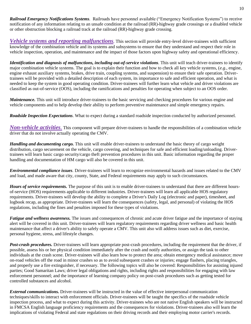*Railroad Emergency Notifications Systems.* Railroads have personnel available ("Emergency Notification Systems") to receive notification of any information relating to an unsafe condition at the railroad (RR)-highway grade crossings or a disabled vehicle or other obstruction blocking a railroad track at the railroad (RR)-highway grade crossing.

*Vehicle systems and reporting malfunctions*. This section will provide entry-level driver-trainees with sufficient knowledge of the combination vehicle and its systems and subsystems to ensure that they understand and respect their role in vehicle inspection, operation, and maintenance and the impact of those factors upon highway safety and operational efficiency.

*Identification and diagnosis of malfunctions, including out-of-service violations.* This unit will teach driver-trainees to identify major combination vehicle systems. The goal is to explain their function and how to check all key vehicle systems, (*e.g.,* engine, engine exhaust auxiliary systems, brakes, drive train, coupling systems, and suspension) to ensure their safe operation. Drivertrainees will be provided with a detailed description of each system, its importance to safe and efficient operation, and what is needed to keep the system in good operating condition. Driver-trainees will further learn what vehicle and driver violations are classified as out-of-service (OOS), including the ramifications and penalties for operating when subject to an OOS order.

*Maintenance*. This unit will introduce driver-trainees to the basic servicing and checking procedures for various engine and vehicle components and to help develop their ability to perform preventive maintenance and simple emergency repairs.

*Roadside Inspection Expectations*. What to expect during a standard roadside inspection conducted by authorized personnel.

*Non-vehicle activities.* This component will prepare driver-trainees to handle the responsibilities of a combination vehicle driver that do not involve actually operating the CMV.

*Handling and documenting cargo.* This unit will enable driver-trainees to understand the basic theory of cargo weight distribution, cargo securement on the vehicle, cargo covering, and techniques for safe and efficient loading/unloading. Drivertrainees will learn basic cargo security/cargo theft prevention procedures in this unit. Basic information regarding the proper handling and documentation of HM cargo will also be covered in this unit.

*Environmental compliance issues.* Driver-trainees will learn to recognize environmental hazards and issues related to the CMV and load, and made aware that city, county, State, and Federal requirements may apply to such circumstances.

*Hours of service requirements.* The purpose of this unit is to enable driver-trainees to understand that there are different hoursof-service (HOS) requirements applicable to different industries. Driver-trainees will learn all applicable HOS regulatory requirements. Driver-trainees will develop the ability to complete a Driver's Daily Log (electronic and paper), timesheet, and logbook recap, as appropriate. Driver-trainees will learn the consequences (safety, legal, and personal) of violating the HOS regulations, including the fines and penalties imposed for these types of violations.

*Fatigue and wellness awareness.* The issues and consequences of chronic and acute driver fatigue and the importance of staying alert will be covered in this unit. Driver-trainees will learn regulatory requirements regarding driver wellness and basic health maintenance that affect a driver's ability to safely operate a CMV. This unit also will address issues such as diet, exercise, personal hygiene, stress, and lifestyle changes.

*Post-crash procedures.* Driver-trainees will learn appropriate post-crash procedures, including the requirement that the driver, if possible, assess his or her physical condition immediately after the crash and notify authorities, or assign the task to other individuals at the crash scene. Driver-trainees will also learn how to protect the area; obtain emergency medical assistance; move on-road vehicles off the road in minor crashes so as to avoid subsequent crashes or injuries; engage flashers, placing triangles, and properly use a fire extinguisher, if necessary. The following topics will also be covered: Responsibilities for assisting injured parties; Good Samaritan Laws; driver legal obligations and rights, including rights and responsibilities for engaging with law enforcement personnel; and the importance of learning company policy on post-crash procedures such as getting tested for controlled substances and alcohol.

*External communications.* Driver-trainees will be instructed in the value of effective interpersonal communication techniques/skills to interact with enforcement officials. Driver-trainees will be taught the specifics of the roadside vehicle inspection process, and what to expect during this activity. Driver-trainees who are not native English speakers will be instructed in FMCSA English language proficiency requirements and the consequences for violations. Driver-trainees also will learn the implications of violating Federal and state regulations on their driving records and their employing motor carrier's records.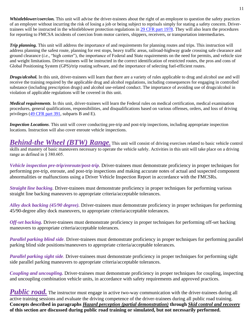*Whistleblower/coercion.* This unit will advise the driver-trainees about the right of an employee to question the safety practices of an employer without incurring the risk of losing a job or being subject to reprisals simply for stating a safety concern. Drivertrainees will be instructed in the whistleblower protection regulations in [29 CFR part 1978.](https://www.federalregister.gov/select-citation/2016/03/07/29-CFR-1978) They will also learn the procedures for reporting to FMCSA incidents of coercion from motor carriers, shippers, receivers, or transportation intermediaries.

*Trip planning.* This unit will address the importance of and requirements for planning routes and trips. This instruction will address planning the safest route, planning for rest stops, heavy traffic areas, railroad-highway grade crossing safe clearance and ground clearance (*i.e.,* "high center"), the importance of Federal and State requirements on the need for permits, and vehicle size and weight limitations. Driver-trainees will be instructed in the correct identification of restricted routes, the pros and cons of Global Positioning System (GPS)/trip routing software, and the importance of selecting fuel-efficient routes.

*Drugs/alcohol.* In this unit, driver-trainees will learn that there are a variety of rules applicable to drug and alcohol use and will receive the training required by the applicable drug and alcohol regulations, including consequences for engaging in controlled substance (including prescription drugs) and alcohol use-related conduct. The importance of avoiding use of drugs/alcohol in violation of applicable regulations will be covered in this unit.

*Medical requirements.* In this unit, driver-trainees will learn the Federal rules on medical certification, medical examination procedures, general qualifications, responsibilities, and disqualifications based on various offenses, orders, and loss of driving privileges [\(49 CFR part 391,](https://www.federalregister.gov/select-citation/2016/03/07/49-CFR-391) subparts B and E).

*Inspection Locations*. This unit will cover conducting pre-trip and post-trip inspections, including appropriate inspection locations. Instruction will also cover enroute vehicle inspections.

*Behind-the Wheel (BTW) Range*. This unit will consist of driving exercises related to basic vehicle control skills and mastery of basic maneuvers necessary to operate the vehicle safely. Activities in this unit will take place on a driving range as defined in § 380.605.

*Vehicle inspection pre-trip/enroute/post-trip.* Driver-trainees must demonstrate proficiency in proper techniques for performing pre-trip, enroute, and post-trip inspections and making accurate notes of actual and suspected component abnormalities or malfunctions using a Driver Vehicle Inspection Report in accordance with the FMCSRs.

*Straight line backing.* Driver-trainees must demonstrate proficiency in proper techniques for performing various straight line backing maneuvers to appropriate criteria/acceptable tolerances.

*Alley dock backing (45/90 degree).* Driver-trainees must demonstrate proficiency in proper techniques for performing 45/90-degree alley dock maneuvers, to appropriate criteria/acceptable tolerances.

*Off-set backing.* Driver-trainees must demonstrate proficiency in proper techniques for performing off-set backing maneuvers to appropriate criteria/acceptable tolerances.

*Parallel parking blind side.* Driver-trainees must demonstrate proficiency in proper techniques for performing parallel parking blind side positions/maneuvers to appropriate criteria/acceptable tolerances.

*Parallel parking sight side.* Driver-trainees must demonstrate proficiency in proper techniques for performing sight side parallel parking maneuvers to appropriate criteria/acceptable tolerances.

*Coupling and uncoupling.* Driver-trainees must demonstrate proficiency in proper techniques for coupling, inspecting and uncoupling combination vehicle units, in accordance with safety requirements and approved practices.

**Public road.** The instructor must engage in active two-way communication with the driver-trainees during all active training sessions and evaluate the driving competence of the driver-trainees during all public road training. **Concepts described in paragraphs** *Hazard perception (partial demonstration)* **through** *Skid control and recovery* **of this section are discussed during public road training or simulated, but not necessarily performed.**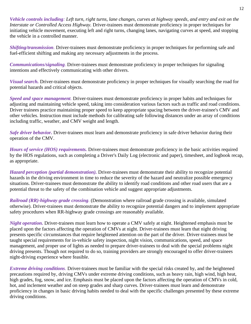*Vehicle controls including: Left turn, right turns, lane changes, curves at highway speeds*, *and entry and exit on the Interstate or Controlled Access Highway.* Driver-trainees must demonstrate proficiency in proper techniques for initiating vehicle movement, executing left and right turns, changing lanes, navigating curves at speed, and stopping the vehicle in a controlled manner.

*Shifting/transmission.* Driver-trainees must demonstrate proficiency in proper techniques for performing safe and fuel-efficient shifting and making any necessary adjustments in the process.

*Communications/signaling.* Driver-trainees must demonstrate proficiency in proper techniques for signaling intentions and effectively communicating with other drivers.

*Visual search.* Driver-trainees must demonstrate proficiency in proper techniques for visually searching the road for potential hazards and critical objects.

*Speed and space management.* Driver-trainees must demonstrate proficiency in proper habits and techniques for adjusting and maintaining vehicle speed, taking into consideration various factors such as traffic and road conditions. Driver trainees practice maintaining proper speed to keep appropriate spacing between the driver-trainee's CMV and other vehicles. Instruction must include methods for calibrating safe following distances under an array of conditions including traffic, weather, and CMV weight and length.

*Safe driver behavior.* Driver-trainees must learn and demonstrate proficiency in safe driver behavior during their operation of the CMV.

*Hours of service (HOS) requirements.* Driver-trainees must demonstrate proficiency in the basic activities required by the HOS regulations, such as completing a Driver's Daily Log (electronic and paper), timesheet, and logbook recap, as appropriate.

*Hazard perception (partial demonstration).* Driver-trainees must demonstrate their ability to recognize potential hazards in the driving environment in time to reduce the severity of the hazard and neutralize possible emergency situations. Driver-trainees must demonstrate the ability to identify road conditions and other road users that are a potential threat to the safety of the combination vehicle and suggest appropriate adjustments.

*Railroad (RR)-highway grade crossing.* (Demonstration where railroad grade crossing is available, simulated otherwise). Driver-trainees must demonstrate the ability to recognize potential dangers and to implement appropriate safety procedures when RR-highway grade crossings are reasonably available.

*Night operation.* Driver-trainees must learn how to operate a CMV safely at night. Heightened emphasis must be placed upon the factors affecting the operation of CMVs at night. Driver-trainees must learn that night driving presents specific circumstances that require heightened attention on the part of the driver. Driver-trainees must be taught special requirements for in-vehicle safety inspection, night vision, communications, speed, and space management, and proper use of lights as needed to prepare driver-trainees to deal with the special problems night driving presents. Though not required to do so, training providers are strongly encouraged to offer driver-trainees night-driving experience where feasible.

*Extreme driving conditions.* Driver-trainees must be familiar with the special risks created by, and the heightened precautions required by, driving CMVs under extreme driving conditions, such as heavy rain, high wind, high heat, high grades, fog, snow, and ice. Emphasis must be placed upon the factors affecting the operation of CMVs in cold, hot, and inclement weather and on steep grades and sharp curves. Driver-trainees must learn and demonstrate proficiency in changes in basic driving habits needed to deal with the specific challenges presented by these extreme driving conditions.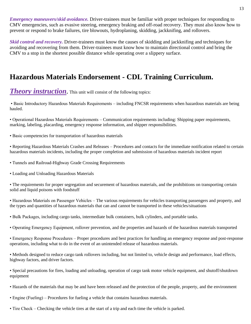*Emergency maneuvers/skid avoidance.* Driver-trainees must be familiar with proper techniques for responding to CMV emergencies, such as evasive steering, emergency braking and off-road recovery. They must also know how to prevent or respond to brake failures, tire blowouts, hydroplaning, skidding, jackknifing, and rollovers.

*Skid control and recovery.* Driver-trainees must know the causes of skidding and jackknifing and techniques for avoiding and recovering from them. Driver-trainees must know how to maintain directional control and bring the CMV to a stop in the shortest possible distance while operating over a slippery surface.

# **Hazardous Materials Endorsement - CDL Training Curriculum.**

# **Theory instruction.** This unit will consist of the following topics:

• Basic Introductory Hazardous Materials Requirements – including FNCSR requirements when hazardous materials are being hauled.

• Operational Hazardous Materials Requirements – Communication requirements including: Shipping paper requirements, marking, labeling, placarding, emergency response information, and shipper responsibilities.

• Basic competencies for transportation of hazardous materials

• Reporting Hazardous Materials Crashes and Releases – Procedures and contacts for the immediate notification related to certain hazardous materials incidents, including the proper completion and submission of hazardous materials incident report

- Tunnels and Railroad-Highway Grade Crossing Requirements
- Loading and Unloading Hazardous Materials

• The requirements for proper segregation and securement of hazardous materials, and the prohibitions on transporting certain solid and liquid poisons with foodstuff

• Hazardous Materials on Passenger Vehicles – The various requirements for vehicles transporting passengers and property, and the types and quantities of hazardous materials that can and cannot be transported in these vehicles/situations

- Bulk Packages, including cargo tanks, intermediate bulk containers, bulk cylinders, and portable tanks.
- Operating Emergency Equipment, rollover prevention, and the properties and hazards of the hazardous materials transported

• Emergency Response Procedures – Proper procedures and best practices for handling an emergency response and post-response operations, including what to do in the event of an unintended release of hazardous materials.

• Methods designed to reduce cargo tank rollovers including, but not limited to, vehicle design and performance, load effects, highway factors, and driver factors.

• Special precautions for fires, loading and unloading, operation of cargo tank motor vehicle equipment, and shutoff/shutdown equipment

- Hazards of the materials that may be and have been released and the protection of the people, property, and the environment
- Engine (Fueling) Procedures for fueling a vehicle that contains hazardous materials.
- Tire Check Checking the vehicle tires at the start of a trip and each time the vehicle is parked.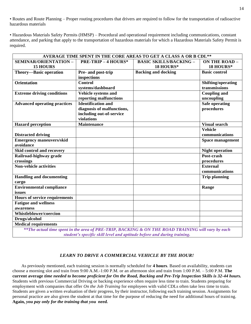• Routes and Route Planning – Proper routing procedures that drivers are required to follow for the transportation of radioactive hazardous materials

• Hazardous Materials Safety Permits (HMSP) – Procedural and operational requirement including communications, constant attendance, and parking that apply to the transportation of hazardous materials for which a Hazardous Materials Safety Permit is required.

| AVERAGE TIME SPENT IN THE CORE AREAS TO GET A CLASS A OR B CDL**                                  |                            |                               |                         |
|---------------------------------------------------------------------------------------------------|----------------------------|-------------------------------|-------------------------|
| SEMINAR/ORIENTATION -                                                                             | <b>PRE-TRIP - 4 HOURS*</b> | <b>BASIC SKILLS/BACKING -</b> | <b>ON THE ROAD -</b>    |
| <b>15 HOURS</b>                                                                                   |                            | 18 HOURS*                     | 18 HOURS*               |
| Theory-Basic operation                                                                            | Pre- and post-trip         | <b>Backing and docking</b>    | <b>Basic control</b>    |
|                                                                                                   | inspections                |                               |                         |
| <b>Orientation</b>                                                                                | <b>Control</b>             |                               | Shifting/operating      |
|                                                                                                   | systems/dashboard          |                               | transmissions           |
| <b>Extreme driving conditions</b>                                                                 | Vehicle systems and        |                               | <b>Coupling and</b>     |
|                                                                                                   | reporting malfunctions     |                               | uncoupling              |
| <b>Advanced operating practices</b>                                                               | <b>Identification and</b>  |                               | Safe operating          |
|                                                                                                   | diagnosis of malfunctions, |                               | procedures              |
|                                                                                                   | including out-of-service   |                               |                         |
|                                                                                                   | violations                 |                               |                         |
| <b>Hazard</b> perception                                                                          | Maintenance                |                               | <b>Visual search</b>    |
|                                                                                                   |                            |                               | <b>Vehicle</b>          |
| <b>Distracted driving</b>                                                                         |                            |                               | communications          |
| <b>Emergency maneuvers/skid</b>                                                                   |                            |                               | <b>Space management</b> |
| avoidance                                                                                         |                            |                               |                         |
| Skid control and recovery                                                                         |                            |                               | <b>Night operation</b>  |
| Railroad-highway grade                                                                            |                            |                               | Post-crash              |
| crossings                                                                                         |                            |                               | procedures              |
| <b>Non-vehicle activities</b>                                                                     |                            |                               | <b>External</b>         |
|                                                                                                   |                            |                               | communications          |
| <b>Handling and documenting</b>                                                                   |                            |                               | <b>Trip planning</b>    |
| cargo                                                                                             |                            |                               |                         |
| <b>Environmental compliance</b>                                                                   |                            |                               | Range                   |
| issues                                                                                            |                            |                               |                         |
| <b>Hours of service requirements</b>                                                              |                            |                               |                         |
| <b>Fatigue and wellness</b>                                                                       |                            |                               |                         |
| awareness                                                                                         |                            |                               |                         |
| Whistleblower/coercion                                                                            |                            |                               |                         |
| Drugs/alcohol                                                                                     |                            |                               |                         |
| <b>Medical requirements</b>                                                                       |                            |                               |                         |
| **The actual time spent in the area of PRE-TRIP, BACKING & ON THE ROAD TRAINING will vary by each |                            |                               |                         |
| student's specific skill level and aptitude before and during training.                           |                            |                               |                         |

#### *LEARN TO DRIVE A COMMERCIAL VEHICLE BY THE HOUR!*

As previously mentioned, each training session is normally scheduled for **4 hours**. Based on availability, students can choose a morning slot and train from 9:00 A.M.-1:00 P.M. or an afternoon slot and train from 1:00 P.M. – 5:00 P.M. **The current average** *time needed to become proficient for On the Road, Backing and Pre-Trip Inspection Skills is 32-44 hours.* Students with previous Commercial Driving or backing experience often require less time to train. Students preparing for employment with companies that offer *On the Job Training* for employees with valid CDLs often take less time to train. Students are given a written evaluation of their progress, by their instructor, following each training session. Assignments for personal practice are also given the student at that time for the purpose of reducing the need for additional hours of training. **Again,** *you pay only for the training that you need.*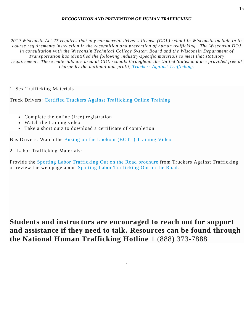#### *RECOGNITION AND PREVENTION OF HUMAN TRAFFICKING*

2019 Wisconsin Act 27 requires that any commercial driver's license (CDL) school in Wisconsin include in its *course requirements instruction in the recognition and prevention of human trafficking. The Wisconsin DOJ in consultation with the Wisconsin Technical College System Board and the Wisconsin Department of Transportation has identified the following industry-specific materials to meet that statutory* requirement. These materials are used at CDL schools throughout the United States and are provided free of *charge by the national non-profit, Truckers Against [Trafficking.](https://truckersagainsttrafficking.org/)*

## 1. Sex Trafficking Materials

Truck Drivers: Certified Truckers Against [Trafficking](https://education.truckersagainsttrafficking.org/lesson/the-tat-training-video/) Online Training

- Complete the online (free) registration
- Watch the training video
- Take a short quiz to download a certificate of completion

Bus Drivers: Watch the Busing on the Lookout (BOTL) [Training](https://truckersagainsttrafficking.org/get-our-materials/#botl-materials) Video

2. Labor Trafficking Materials:

Provide the Spotting Labor [Trafficking](https://www.doj.state.wi.us/sites/default/files/ocvs/human%20trafficking/TAT_Labor_Trifold_Bro_Letter-Size_2019_US-FrCan%20%281%29.pdf) Out on the Road brochure from Truckers Against Trafficking or review the web page about Spotting Labor [Trafficking](https://truckersagainsttrafficking.org/labor-trafficking/) Out on the Road.

# **Students and instructors are encouraged to reach out for support and assistance if they need to talk. Resources can be found through the National Human Trafficking Hotline** 1 (888) 373-7888

.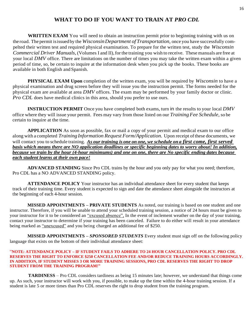## **WHAT TO DO IF YOU WANT TO TRAIN AT** *PRO CDL*

**WRITTEN EXAM** You will need to obtain an instruction permit prior to beginning training with us on the road. The permit isissuedby the *WisconsinDepartment of Transportation,* once you have successfully compelted their written test and required physical examination. To prepare for the written test, study the *Wisconsin Commercial Driver Manuals,* (Volumes I and II), for the training you wish to receive. These manuals are free at your local *DMV* office. There are limitations on the number of times you may take the written exam within a given period of time, so, be certain to inquire at the information desk when you pick up the books. These books are available in both English and Spanish.

**PHYSICAL EXAM Upon** completion of the written exam, you will be required by *Wisconsin* to have a physical examination and drug screen before they will issue you the instruction permit. The forms needed for the physical exam are available at area *DMV* offices. The exam may be performed by your family doctor or clinic. *Pro CDL* does have medical clinics in this area, should you prefer to use ours.

**INSTRUCTION PERMIT** Once you have completed both exams, turn in the results to your local *DMV*  office where they will issue your permit. Fees may vary from those listed on our *TrainingFee Schedule,* so be certain to inquire at the time.

**APPLICATION** As soon as possible, fax or mail a copy of your permit and medical exam to our office along with a completed *TrainingInformation Request Form/Application.* Upon receipt ofthese documents, we will contact you to schedule training. *As our training is one on one, we schedule on a first come, first served basis which means there are NO application deadlines or specific beginning dates to worry about! In addition, because we train by the hour (4-hour minimums) and one on one, there are No specific ending dates because each student learns at their own pace!*

**ADVANCED STANDING** Since Pro CDL trains by the hour and you only pay for what you need; therefore, Pro CDL has a NO ADVANCED STANDING policy.

**ATTENDANCE POLICY** Your instructor has an individual attendance sheet for every student that keeps track of their training time. Every student is expected to sign and date the attendance sheet alongside the instructors at the beginning of each 4-hour session.

 **MISSED APPOINTMENTS – PRIVATE STUDENTS** As noted, our training is based on one student and one instructor. Therefore, if you will be unable to attend your scheduled training session, a notice of 24 hours must be given to your instructor for it to be considered an "excused absence". In the event of inclement weather on the day of your training, contact your instructor to determine if your training has been canceled. Failure to do either will result in your attendance being marked as "unexcused" and you being charged an additional fee of \$250.

 **MISSED APPOINTMENTS –** *SPONSORED STUDENTS* Every student must sign off on the following policy language that exists on the bottom of their individual attendance sheet:

#### "**NOTE: ATTENDANCE POLICY – IF STUDENT FAILS TO ADHERE TO 24 HOUR CANCELLATION POLICY. PRO CDL RESERVES THE RIGHT TO ENFORCE \$250 CANCELLATION FEE AND/OR REDUCE TRAINING HOURS ACCORDINGLY. IN ADDITION, IF STUDENT MISSES 3 OR MORE TRAINING SESSIONS, PRO CDL RESERVES THE RIGHT TO DROP STUDENT FROM THE TRAINING PROGRAM!"**

 **TARDINESS** – Pro CDL considers tardiness as being 15 minutes late; however, we understand that things come up. As such, your instructor will work with you, if possible, to make up the time within the 4-hour training session. If a student is late 5 or more times than Pro CDL reserves the right to drop student from the training program*.*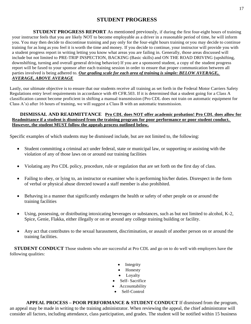## **STUDENT PROGRESS**

**STUDENT PROGRESS REPORT** As mentioned previously, if during the first four-eight hours of training your instructor feels that you are likely NOT to become employable as a driver in a reasonable period of time, he will inform you. You may then decide to discontinue training and pay only for the four-eight hours training or you may decide to continue training for as long as you feel it is worth the time and money. If you decide to continue, your instructor will provide you with a student progress report in writing letting you know what areas you are failing in. Generally, those areas discussed will include but not limited to PRE-TRIP INSPECTION, BACKING (Basic skills) and ON THE ROAD DRIVING (upshifting, downshifting, turning and overall general driving behavior) If you are a sponsored student, a copy of the student progress report will be faxed to your sponsor after each training session in order to ensure that proper communication between all parties involved is being adhered to. *Our grading scale for each area of training is simple: BELOW AVERAGE, AVERAGE, ABOVE AVERAGE*

Lastly, our ultimate objective is to ensure that our students receive all training as set forth in the Federal Motor Carriers Safety Regulations entry level requirements in accordance with 49 CFR.503. If it is determined that a student going for a Class A classification cannot become proficient in shifting a manual transmission (Pro CDL does not train on automatic equipment for Class A's) after 16 hours of training, we will suggest a Class B with an automatic transmission.

#### **DISMISSAL AND READMITTANCE Pro CDL does NOT offer academic probation! Pro CDL does allow for Readmittance if a student is dismissed from the training program for poor performance or poor student conduct. However, the student MUST follow the appeals process outlined below.**

Specific examples of which students may be dismissed include, but are not limited to, the following:

- Student committing a criminal act under federal, state or municipal law, or supporting or assisting with the violation of any of those laws on or around our training facilities
- Violating any Pro CDL policy, procedure, rule or regulation that are set forth on the first day of class.
- Failing to obey, or lying to, an instructor or examiner who is performing his/her duties. Disrespect in the form of verbal or physical abuse directed toward a staff member is also prohibited.
- Behaving in a manner that significantly endangers the health or safety of other people on or around the training facilities
- Using, possessing, or distributing intoxicating beverages or substances, such as but not limited to alcohol, K-2, Spice, Genie, Flakka, either illegally or on or around any college training building or facility.
- Any act that contributes to the sexual harassment, discrimination, or assault of another person on or around the training facilities.

**STUDENT CONDUCT** Those students who are successful at Pro CDL and go on to do well with employers have the following qualities:

- Integrity
- Honesty
- Loyalty
- Self- Sacrifice
- Accountability
- Self-Control

 **APPEAL PROCESS – POOR PERFORMANCE & STUDENT CONDUCT** If dismissed from the program, an appeal may be made in writing to the training administrator. When reviewing the appeal, the chief administrator will consider all factors, including attendance, class participation, and grades. The student will be notified within 15 business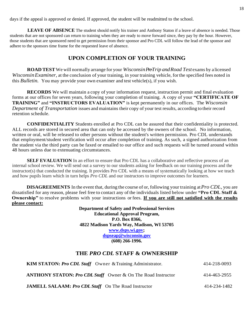days if the appeal is approved or denied. If approved, the student will be readmitted to the school.

 **LEAVE OF ABSENCE** The student should notify his trainer and Anthony Staton if a leave of absence is needed. Those students that are not sponsored can return to training when they are ready to move forward since, they pay by the hour. However, those students that are sponsored need to get permission from their sponsor and Pro CDL will follow the lead of the sponsor and adhere to the sponsors time frame for the requested leave of absence.

## **UPON COMPLETION OF YOUR TRAINING**

**ROAD TEST** We will normally arrange for your *Wisconsin Pre-Trip and Road Test* exams by a licensed *WisconsinExaminer,* at the conclusion of your training, in your training vehicle, forthe specified fees noted in this *Bulletin.* You may provide your own examiner and test vehicle(s), if you wish.

**RECORDS** We will maintain a copy of your information request, instruction permit and final evaluation forms at our offices for seven years, following your completion of training. A copy of your **"CERTIFICATE OF TRAINING"** and **"INSTRUCTORS EVALUATION"** is kept permanently in our offices. The *Wisconsin Department of Transportation* issues and maintains their copy of your test results, according to their record retention schedule.

**CONFIDENTIALITY** Students enrolled at Pro CDL can be assured that their confidentiality is protected. ALL records are stored in secured area that can only be accessed by the owners of the school. No information, written or oral, will be released to other persons without the student's written permission. Pro CDL understands that employment/student verification will occur after completion of training. As such, a signed authorization from the student via the third party can be faxed or emailed to our office and such requests will be turned around within 48 hours unless due to extenuating circumstances.

**SELF EVALUATION** In an effort to ensure that Pro CDL has a collaborative and reflective process of an internal school review. We will send out a survey to our students asking for feedback on our training process and the instructor(s) that conducted the training. It provides Pro CDL with a means of systematically looking at how we teach and how pupils learn which in turn helps *Pro CDL* and our instructors to improve outcomes for learners.

**DISAGREEMENTS** In the event that, during the course of or, following your training at*Pro CDL,* you are dissatisfied for any reason, please feel free to contact any ofthe individuals listed below under **"Pro CDL Staff & Ownership"** to resolve problems with your instructions or fees. **If you are still not satisfied with the results please contact:**

> **Department of Safety and Professional Services Educational Approval Program, P.O. Box 8366, 4822 Madison Yards Way, Madison, WI 53705 [www.dsps.wi.gov;](http://www.dsps.wi.gov/) [dspseap@wisconsin.gov](mailto:dspseap@wisconsin.gov) (608) 266-1996.**

## **THE** *PRO CDL* **STAFF & OWNERSHIP**

| <b>KIM STATON: Pro CDL Staff</b> Owner & Training Administrator.    | 414-218-0093 |
|---------------------------------------------------------------------|--------------|
| <b>ANTHONY STATON: Pro CDL Staff</b> Owner & On The Road Instructor | 414-463-2955 |
| <b>JAMELL SALAAM: Pro CDL Staff</b> On The Road Instructor          | 414-234-1482 |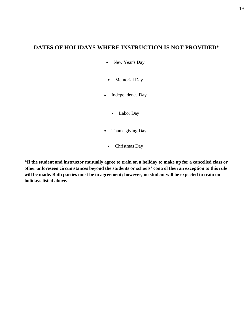## **DATES OF HOLIDAYS WHERE INSTRUCTION IS NOT PROVIDED\***

- New Year's Day
- Memorial Day
- Independence Day
	- Labor Day
- Thanksgiving Day
	- Christmas Day

**\*If the student and instructor mutually agree to train on a holiday to make up for a cancelled class or other unforeseen circumstances beyond the students or schools' control then an exception to this rule will be made. Both parties must be in agreement; however, no student will be expected to train on holidays listed above.**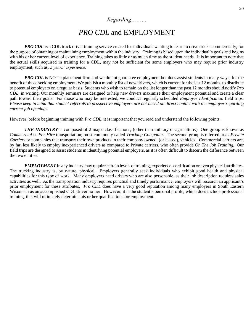# *PRO CDL* and EMPLOYMENT

*PRO CDL* is a CDL truck driver training service created for individuals wanting to learn to drive trucks commercially, for the purpose of obtaining or maintaining employment within the industry. Training is based upon the individual's goals and begins with his or her current level of experience. Training takes as little or as much time as the student needs. It is important to note that the actual skills acquired in training for a CDL, may not be sufficient for some employers who may require prior industry employment, such as, *2 years' experience.*

*PRO CDL* is NOT a placement firm and we do not guarantee employment but does assist students in many ways, for the benefit of those seeking employment. We publish a monthly list of new drivers, which is current for the last 12 months, to distribute to potential employers on a regular basis. Students who wish to remain on the list longer than the past 12 months should notify *Pro CDL,* in writing. Our monthly seminars are designed to help new drivers maximize their employment potential and create a clear path toward their goals. For those who may be interested, we conduct regularly scheduled *Employer Identification* field trips. *Please keep in mind that student referrals to prospective employers are not based on direct contact with the employer regarding current job openings*.

However, before beginning training with *Pro CDL*, it is important that you read and understand the following points.

*THE INDUSTRY* is composed of 2 major classifications, (other than military or agriculture.) One group is known as *Commercial* or *For Hire* transportation; most commonly called *Trucking Companies.* The second group is referred to as *Private Carriers* or companies that transport their own products in their company owned, (or leased), vehicles. Commercial carriers are, by far, less likely to employ inexperienced drivers as compared to Private carriers, who often provide *On The Job Training.* Our field trips are designed to assist students in identifying potential employers, as it is often difficult to discern the difference between the two entities.

*EMPLOYMENT* in any industry may require certain levels of training, experience, certification or even physical attributes. The trucking industry is, by nature, physical. Employers generally seek individuals who exhibit good health and physical capabilities for this type of work. Many employers need drivers who are also personable, as their job description requires sales activities as well. As the transportation industry requires punctual and timely performance, employers will research an applicant's prior employment for these attributes. *Pro CDL* does have a very good reputation among many employers in South Eastern Wisconsin as an accomplished CDL driver trainer. However, it is the student's personal profile, which does include professional training, that will ultimately determine his or her qualifications for employment.